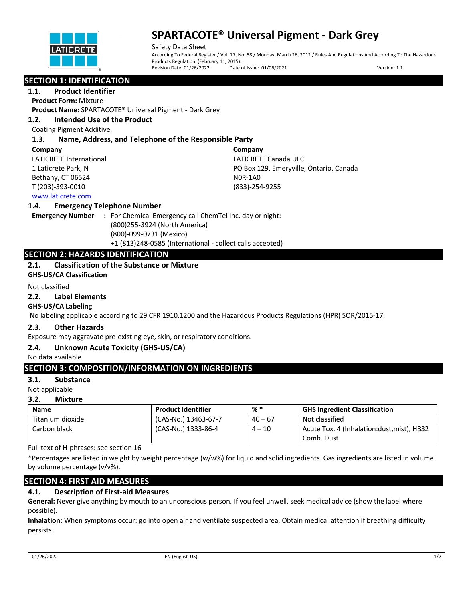

Safety Data Sheet According To Federal Register / Vol. 77, No. 58 / Monday, March 26, 2012 / Rules And Regulations And According To The Hazardous Products Regulation (February 11, 2015).<br>Revision Date: 01/26/2022 Date Date of Issue: 01/06/2021 Version: 1.1

# **SECTION 1: IDENTIFICATION**

**1.1. Product Identifier**

**Product Form:** Mixture

**Product Name:** SPARTACOTE® Universal Pigment - Dark Grey

## **1.2. Intended Use of the Product**

Coating Pigment Additive.

## **1.3. Name, Address, and Telephone of the Responsible Party**

#### **Company**

LATICRETE International 1 Laticrete Park, N Bethany, CT 06524 T (203)-393-0010

**Company** LATICRETE Canada ULC PO Box 129, Emeryville, Ontario, Canada N0R-1A0 (833)-254-9255

## www.laticrete.com

## **1.4. Emergency Telephone Number**

**Emergency Number :** For Chemical Emergency call ChemTel Inc. day or night: (800)255-3924 (North America) (800)-099-0731 (Mexico) +1 (813)248-0585 (International - collect calls accepted)

## **SECTION 2: HAZARDS IDENTIFICATION**

## **2.1. Classification of the Substance or Mixture**

**GHS-US/CA Classification**

#### Not classified

#### **2.2. Label Elements**

## **GHS-US/CA Labeling**

No labeling applicable according to 29 CFR 1910.1200 and the Hazardous Products Regulations (HPR) SOR/2015-17.

## **2.3. Other Hazards**

Exposure may aggravate pre-existing eye, skin, or respiratory conditions.

## **2.4. Unknown Acute Toxicity (GHS-US/CA)**

No data available

# **SECTION 3: COMPOSITION/INFORMATION ON INGREDIENTS**

## **3.1. Substance**

Not applicable

## **3.2. Mixture**

| <b>Name</b>      | <b>Product Identifier</b> | % *       | <b>GHS Ingredient Classification</b>       |
|------------------|---------------------------|-----------|--------------------------------------------|
| Titanium dioxide | (CAS-No.) 13463-67-7      | $40 - 67$ | Not classified                             |
| Carbon black     | (CAS-No.) 1333-86-4       | $4 - 10$  | Acute Tox. 4 (Inhalation:dust, mist), H332 |
|                  |                           |           | Comb. Dust                                 |

Full text of H-phrases: see section 16

\*Percentages are listed in weight by weight percentage (w/w%) for liquid and solid ingredients. Gas ingredients are listed in volume by volume percentage (v/v%).

## **SECTION 4: FIRST AID MEASURES**

# **4.1. Description of First-aid Measures**

**General:** Never give anything by mouth to an unconscious person. If you feel unwell, seek medical advice (show the label where possible).

**Inhalation:** When symptoms occur: go into open air and ventilate suspected area. Obtain medical attention if breathing difficulty persists.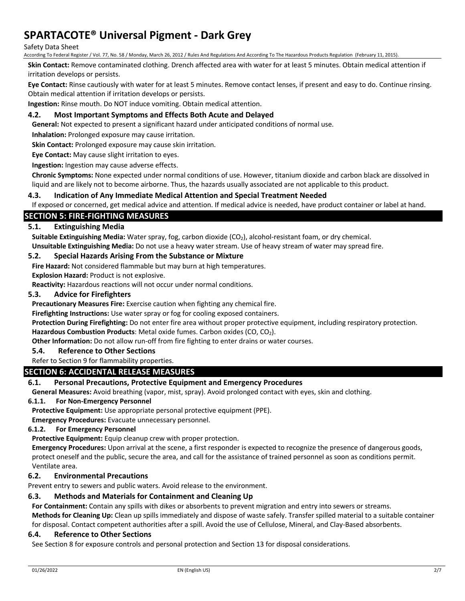#### Safety Data Sheet

According To Federal Register / Vol. 77, No. 58 / Monday, March 26, 2012 / Rules And Regulations And According To The Hazardous Products Regulation (February 11, 2015).

**Skin Contact:** Remove contaminated clothing. Drench affected area with water for at least 5 minutes. Obtain medical attention if irritation develops or persists.

**Eye Contact:** Rinse cautiously with water for at least 5 minutes. Remove contact lenses, if present and easy to do. Continue rinsing. Obtain medical attention if irritation develops or persists.

**Ingestion:** Rinse mouth. Do NOT induce vomiting. Obtain medical attention.

## **4.2. Most Important Symptoms and Effects Both Acute and Delayed**

**General:** Not expected to present a significant hazard under anticipated conditions of normal use.

**Inhalation:** Prolonged exposure may cause irritation.

**Skin Contact:** Prolonged exposure may cause skin irritation.

**Eye Contact:** May cause slight irritation to eyes.

**Ingestion:** Ingestion may cause adverse effects.

**Chronic Symptoms:** None expected under normal conditions of use. However, titanium dioxide and carbon black are dissolved in liquid and are likely not to become airborne. Thus, the hazards usually associated are not applicable to this product.

## **4.3. Indication of Any Immediate Medical Attention and Special Treatment Needed**

If exposed or concerned, get medical advice and attention. If medical advice is needed, have product container or label at hand.

## **SECTION 5: FIRE-FIGHTING MEASURES**

## **5.1. Extinguishing Media**

Suitable Extinguishing Media: Water spray, fog, carbon dioxide (CO<sub>2</sub>), alcohol-resistant foam, or dry chemical. **Unsuitable Extinguishing Media:** Do not use a heavy water stream. Use of heavy stream of water may spread fire.

#### **5.2. Special Hazards Arising From the Substance or Mixture**

**Fire Hazard:** Not considered flammable but may burn at high temperatures.

**Explosion Hazard:** Product is not explosive.

**Reactivity:** Hazardous reactions will not occur under normal conditions.

#### **5.3. Advice for Firefighters**

**Precautionary Measures Fire:** Exercise caution when fighting any chemical fire.

**Firefighting Instructions:** Use water spray or fog for cooling exposed containers.

**Protection During Firefighting:** Do not enter fire area without proper protective equipment, including respiratory protection.

Hazardous Combustion Products: Metal oxide fumes. Carbon oxides (CO, CO<sub>2</sub>).

**Other Information:** Do not allow run-off from fire fighting to enter drains or water courses.

#### **5.4. Reference to Other Sections**

#### Refer to Section 9 for flammability properties.

## **SECTION 6: ACCIDENTAL RELEASE MEASURES**

## **6.1. Personal Precautions, Protective Equipment and Emergency Procedures**

**General Measures:** Avoid breathing (vapor, mist, spray). Avoid prolonged contact with eyes, skin and clothing.

#### **6.1.1. For Non-Emergency Personnel**

**Protective Equipment:** Use appropriate personal protective equipment (PPE).

**Emergency Procedures:** Evacuate unnecessary personnel.

#### **6.1.2. For Emergency Personnel**

**Protective Equipment:** Equip cleanup crew with proper protection.

**Emergency Procedures:** Upon arrival at the scene, a first responder is expected to recognize the presence of dangerous goods, protect oneself and the public, secure the area, and call for the assistance of trained personnel as soon as conditions permit. Ventilate area.

## **6.2. Environmental Precautions**

Prevent entry to sewers and public waters. Avoid release to the environment.

## **6.3. Methods and Materials for Containment and Cleaning Up**

**For Containment:** Contain any spills with dikes or absorbents to prevent migration and entry into sewers or streams.

**Methods for Cleaning Up:** Clean up spills immediately and dispose of waste safely. Transfer spilled material to a suitable container for disposal. Contact competent authorities after a spill. Avoid the use of Cellulose, Mineral, and Clay-Based absorbents.

#### **6.4. Reference to Other Sections**

See Section 8 for exposure controls and personal protection and Section 13 for disposal considerations.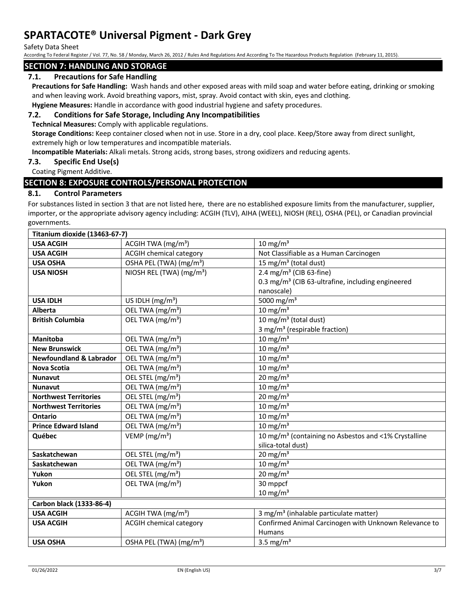Safety Data Sheet

According To Federal Register / Vol. 77, No. 58 / Monday, March 26, 2012 / Rules And Regulations And According To The Hazardous Products Regulation (February 11, 2015).

## **SECTION 7: HANDLING AND STORAGE**

## **7.1. Precautions for Safe Handling**

**Precautions for Safe Handling:** Wash hands and other exposed areas with mild soap and water before eating, drinking or smoking and when leaving work. Avoid breathing vapors, mist, spray. Avoid contact with skin, eyes and clothing.

**Hygiene Measures:** Handle in accordance with good industrial hygiene and safety procedures.

## **7.2. Conditions for Safe Storage, Including Any Incompatibilities**

**Technical Measures:** Comply with applicable regulations.

**Storage Conditions:** Keep container closed when not in use. Store in a dry, cool place. Keep/Store away from direct sunlight, extremely high or low temperatures and incompatible materials.

**Incompatible Materials:** Alkali metals. Strong acids, strong bases, strong oxidizers and reducing agents.

## **7.3. Specific End Use(s)**

#### Coating Pigment Additive.

## **SECTION 8: EXPOSURE CONTROLS/PERSONAL PROTECTION**

#### **8.1. Control Parameters**

For substances listed in section 3 that are not listed here, there are no established exposure limits from the manufacturer, supplier, importer, or the appropriate advisory agency including: ACGIH (TLV), AIHA (WEEL), NIOSH (REL), OSHA (PEL), or Canadian provincial governments.

| Titanium dioxide (13463-67-7)      |                                      |                                                                  |  |  |
|------------------------------------|--------------------------------------|------------------------------------------------------------------|--|--|
| <b>USA ACGIH</b>                   | ACGIH TWA $(mg/m3)$                  | 10 mg/m <sup>3</sup>                                             |  |  |
| <b>USA ACGIH</b>                   | <b>ACGIH chemical category</b>       | Not Classifiable as a Human Carcinogen                           |  |  |
| <b>USA OSHA</b>                    | OSHA PEL (TWA) (mg/m <sup>3</sup> )  | 15 mg/m <sup>3</sup> (total dust)                                |  |  |
| <b>USA NIOSH</b>                   | NIOSH REL (TWA) (mg/m <sup>3</sup> ) | 2.4 mg/m <sup>3</sup> (CIB 63-fine)                              |  |  |
|                                    |                                      | 0.3 mg/m <sup>3</sup> (CIB 63-ultrafine, including engineered    |  |  |
|                                    |                                      | nanoscale)                                                       |  |  |
| <b>USA IDLH</b>                    | US IDLH $(mg/m3)$                    | 5000 mg/m <sup>3</sup>                                           |  |  |
| Alberta                            | OEL TWA (mg/m <sup>3</sup> )         | 10 mg/m $3$                                                      |  |  |
| <b>British Columbia</b>            | OEL TWA (mg/m <sup>3</sup> )         | 10 mg/m <sup>3</sup> (total dust)                                |  |  |
|                                    |                                      | 3 mg/m <sup>3</sup> (respirable fraction)                        |  |  |
| <b>Manitoba</b>                    | OEL TWA (mg/m <sup>3</sup> )         | 10 mg/m $3$                                                      |  |  |
| <b>New Brunswick</b>               | OEL TWA (mg/m <sup>3</sup> )         | 10 mg/m $3$                                                      |  |  |
| <b>Newfoundland &amp; Labrador</b> | OEL TWA (mg/m <sup>3</sup> )         | 10 mg/m $3$                                                      |  |  |
| <b>Nova Scotia</b>                 | OEL TWA (mg/m <sup>3</sup> )         | 10 mg/m $3$                                                      |  |  |
| <b>Nunavut</b>                     | OEL STEL (mg/m <sup>3</sup> )        | 20 mg/m $3$                                                      |  |  |
| <b>Nunavut</b>                     | OEL TWA (mg/m <sup>3</sup> )         | $10 \text{ mg/m}^3$                                              |  |  |
| <b>Northwest Territories</b>       | OEL STEL (mg/m <sup>3</sup> )        | 20 mg/m $3$                                                      |  |  |
| <b>Northwest Territories</b>       | OEL TWA (mg/m <sup>3</sup> )         | $10 \text{ mg/m}^3$                                              |  |  |
| Ontario                            | OEL TWA (mg/m <sup>3</sup> )         | 10 mg/m $3$                                                      |  |  |
| <b>Prince Edward Island</b>        | OEL TWA (mg/m <sup>3</sup> )         | 10 mg/m $3$                                                      |  |  |
| Québec                             | VEMP ( $mg/m3$ )                     | 10 mg/m <sup>3</sup> (containing no Asbestos and <1% Crystalline |  |  |
|                                    |                                      | silica-total dust)                                               |  |  |
| Saskatchewan                       | OEL STEL (mg/m <sup>3</sup> )        | 20 mg/m $3$                                                      |  |  |
| Saskatchewan                       | OEL TWA (mg/m <sup>3</sup> )         | 10 mg/m $3$                                                      |  |  |
| Yukon                              | OEL STEL (mg/m <sup>3</sup> )        | 20 mg/m $3$                                                      |  |  |
| Yukon                              | OEL TWA (mg/m <sup>3</sup> )         | 30 mppcf                                                         |  |  |
|                                    |                                      | 10 mg/m $3$                                                      |  |  |
| Carbon black (1333-86-4)           |                                      |                                                                  |  |  |
| <b>USA ACGIH</b>                   | ACGIH TWA (mg/m <sup>3</sup> )       | 3 mg/m <sup>3</sup> (inhalable particulate matter)               |  |  |
| <b>USA ACGIH</b>                   | <b>ACGIH chemical category</b>       | Confirmed Animal Carcinogen with Unknown Relevance to            |  |  |
|                                    |                                      | <b>Humans</b>                                                    |  |  |
| <b>USA OSHA</b>                    | OSHA PEL (TWA) (mg/m <sup>3</sup> )  | 3.5 mg/ $m3$                                                     |  |  |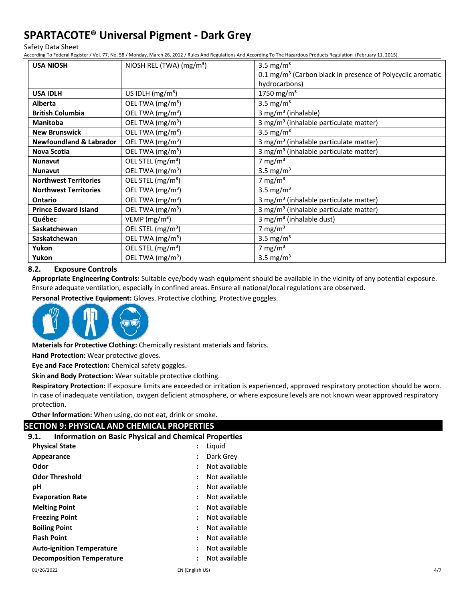Safety Data Sheet

According To Federal Register / Vol. 77, No. 58 / Monday, March 26, 2012 / Rules And Regulations And According To The Hazardous Products Regulation (February 11, 2015).

| <b>USA NIOSH</b>                   | NIOSH REL (TWA) (mg/m <sup>3</sup> ) | 3.5 mg/ $m3$                                                             |
|------------------------------------|--------------------------------------|--------------------------------------------------------------------------|
|                                    |                                      | $0.1 \,\mathrm{mg/m^3}$ (Carbon black in presence of Polycyclic aromatic |
|                                    |                                      | hydrocarbons)                                                            |
| <b>USA IDLH</b>                    | US IDLH $(mg/m3)$                    | 1750 mg/m <sup>3</sup>                                                   |
| <b>Alberta</b>                     | OEL TWA (mg/m <sup>3</sup> )         | 3.5 mg/ $m3$                                                             |
| <b>British Columbia</b>            | OEL TWA (mg/m <sup>3</sup> )         | 3 mg/m <sup>3</sup> (inhalable)                                          |
| <b>Manitoba</b>                    | OEL TWA (mg/m <sup>3</sup> )         | 3 mg/m <sup>3</sup> (inhalable particulate matter)                       |
| <b>New Brunswick</b>               | OEL TWA (mg/m <sup>3</sup> )         | 3.5 mg/m <sup>3</sup>                                                    |
| <b>Newfoundland &amp; Labrador</b> | OEL TWA (mg/m <sup>3</sup> )         | 3 mg/m <sup>3</sup> (inhalable particulate matter)                       |
| Nova Scotia                        | OEL TWA (mg/m <sup>3</sup> )         | 3 mg/m <sup>3</sup> (inhalable particulate matter)                       |
| <b>Nunavut</b>                     | OEL STEL (mg/m <sup>3</sup> )        | 7 mg/m $3$                                                               |
| <b>Nunavut</b>                     | OEL TWA (mg/m <sup>3</sup> )         | 3.5 mg/m <sup>3</sup>                                                    |
| <b>Northwest Territories</b>       | OEL STEL (mg/m <sup>3</sup> )        | 7 mg/m $3$                                                               |
| <b>Northwest Territories</b>       | OEL TWA (mg/m <sup>3</sup> )         | 3.5 mg/m <sup>3</sup>                                                    |
| Ontario                            | OEL TWA (mg/m <sup>3</sup> )         | 3 mg/m <sup>3</sup> (inhalable particulate matter)                       |
| <b>Prince Edward Island</b>        | OEL TWA (mg/m <sup>3</sup> )         | 3 mg/m <sup>3</sup> (inhalable particulate matter)                       |
| Québec                             | VEMP ( $mg/m3$ )                     | 3 mg/m <sup>3</sup> (inhalable dust)                                     |
| <b>Saskatchewan</b>                | OEL STEL (mg/m <sup>3</sup> )        | 7 mg/m $3$                                                               |
| Saskatchewan                       | OEL TWA (mg/m <sup>3</sup> )         | 3.5 mg/ $m3$                                                             |
| Yukon                              | OEL STEL (mg/m <sup>3</sup> )        | 7 mg/m $3$                                                               |
| Yukon                              | OEL TWA (mg/m <sup>3</sup> )         | 3.5 mg/ $m3$                                                             |

#### **8.2. Exposure Controls**

**Appropriate Engineering Controls:** Suitable eye/body wash equipment should be available in the vicinity of any potential exposure. Ensure adequate ventilation, especially in confined areas. Ensure all national/local regulations are observed.

**Personal Protective Equipment:** Gloves. Protective clothing. Protective goggles.



**Materials for Protective Clothing:** Chemically resistant materials and fabrics.

**Hand Protection:** Wear protective gloves.

**Eye and Face Protection:** Chemical safety goggles.

**Skin and Body Protection:** Wear suitable protective clothing.

**Respiratory Protection:** If exposure limits are exceeded or irritation is experienced, approved respiratory protection should be worn. In case of inadequate ventilation, oxygen deficient atmosphere, or where exposure levels are not known wear approved respiratory protection.

**Other Information:** When using, do not eat, drink or smoke.

# **SECTION 9: PHYSICAL AND CHEMICAL PROPERTIES**

**9.1. Information on Basic Physical and Chemical Properties**

| <b>Physical State</b>            | $\ddot{\cdot}$       | Liquid        |
|----------------------------------|----------------------|---------------|
| Appearance                       | $\ddot{\cdot}$       | Dark Grey     |
| Odor                             |                      | Not available |
| <b>Odor Threshold</b>            |                      | Not available |
| рH                               | $\ddot{\phantom{a}}$ | Not available |
| <b>Evaporation Rate</b>          | $\ddot{\cdot}$       | Not available |
| <b>Melting Point</b>             | $\ddot{\cdot}$       | Not available |
| <b>Freezing Point</b>            | $\ddot{\cdot}$       | Not available |
| <b>Boiling Point</b>             | $\ddot{\cdot}$       | Not available |
| <b>Flash Point</b>               | $\ddot{\cdot}$       | Not available |
| <b>Auto-ignition Temperature</b> | $\ddot{\cdot}$       | Not available |
| <b>Decomposition Temperature</b> | $\ddot{\phantom{a}}$ | Not available |
|                                  |                      |               |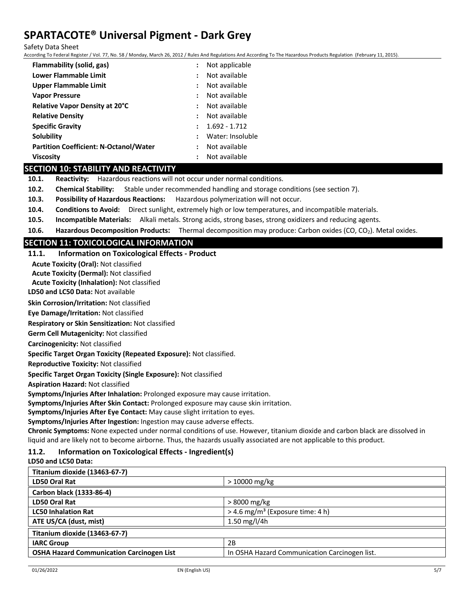Safety Data Sheet

According To Federal Register / Vol. 77, No. 58 / Monday, March 26, 2012 / Rules And Regulations And According To The Hazardous Products Regulation (February 11, 2015).

| Flammability (solid, gas)                     |                      | Not applicable   |
|-----------------------------------------------|----------------------|------------------|
| Lower Flammable Limit                         | :                    | Not available    |
| Upper Flammable Limit                         |                      | Not available    |
| <b>Vapor Pressure</b>                         | $\ddot{\phantom{a}}$ | Not available    |
| Relative Vapor Density at 20°C                |                      | Not available    |
| <b>Relative Density</b>                       | $\ddot{\cdot}$       | Not available    |
| <b>Specific Gravity</b>                       | $\cdot$              | $1.692 - 1.712$  |
| <b>Solubility</b>                             | $\ddot{\cdot}$       | Water: Insoluble |
| <b>Partition Coefficient: N-Octanol/Water</b> | $\ddot{\phantom{a}}$ | Not available    |
| <b>Viscosity</b>                              |                      | Not available    |

## **SECTION 10: STABILITY AND REACTIVITY**

**10.1. Reactivity:** Hazardous reactions will not occur under normal conditions.

- **10.2. Chemical Stability:** Stable under recommended handling and storage conditions (see section 7).
- **10.3. Possibility of Hazardous Reactions:** Hazardous polymerization will not occur.
- **10.4. Conditions to Avoid:** Direct sunlight, extremely high or low temperatures, and incompatible materials.
- **10.5. Incompatible Materials:** Alkali metals. Strong acids, strong bases, strong oxidizers and reducing agents.
- **10.6. Hazardous Decomposition Products:** Thermal decomposition may produce: Carbon oxides (CO, CO<sub>2</sub>). Metal oxides.

## **SECTION 11: TOXICOLOGICAL INFORMATION**

## **11.1. Information on Toxicological Effects - Product**

**Acute Toxicity (Oral):** Not classified

**Acute Toxicity (Dermal):** Not classified

**Acute Toxicity (Inhalation):** Not classified

**LD50 and LC50 Data:** Not available

**Skin Corrosion/Irritation:** Not classified

**Eye Damage/Irritation:** Not classified

**Respiratory or Skin Sensitization:** Not classified

**Germ Cell Mutagenicity:** Not classified

#### **Carcinogenicity:** Not classified

**Specific Target Organ Toxicity (Repeated Exposure):** Not classified.

**Reproductive Toxicity:** Not classified

**Specific Target Organ Toxicity (Single Exposure):** Not classified

**Aspiration Hazard:** Not classified

**Symptoms/Injuries After Inhalation:** Prolonged exposure may cause irritation.

**Symptoms/Injuries After Skin Contact:** Prolonged exposure may cause skin irritation.

**Symptoms/Injuries After Eye Contact:** May cause slight irritation to eyes.

**Symptoms/Injuries After Ingestion:** Ingestion may cause adverse effects.

**Chronic Symptoms:** None expected under normal conditions of use. However, titanium dioxide and carbon black are dissolved in liquid and are likely not to become airborne. Thus, the hazards usually associated are not applicable to this product.

## **11.2. Information on Toxicological Effects - Ingredient(s)**

**LD50 and LC50 Data:**

| Titanium dioxide (13463-67-7)                    |                                                |
|--------------------------------------------------|------------------------------------------------|
| <b>LD50 Oral Rat</b>                             | $>10000$ mg/kg                                 |
| Carbon black (1333-86-4)                         |                                                |
| LD50 Oral Rat                                    | > 8000 mg/kg                                   |
| <b>LC50 Inhalation Rat</b>                       | $>$ 4.6 mg/m <sup>3</sup> (Exposure time: 4 h) |
| ATE US/CA (dust, mist)                           | 1.50 mg/l/4h                                   |
| Titanium dioxide (13463-67-7)                    |                                                |
| <b>IARC Group</b>                                | 2B                                             |
| <b>OSHA Hazard Communication Carcinogen List</b> | In OSHA Hazard Communication Carcinogen list.  |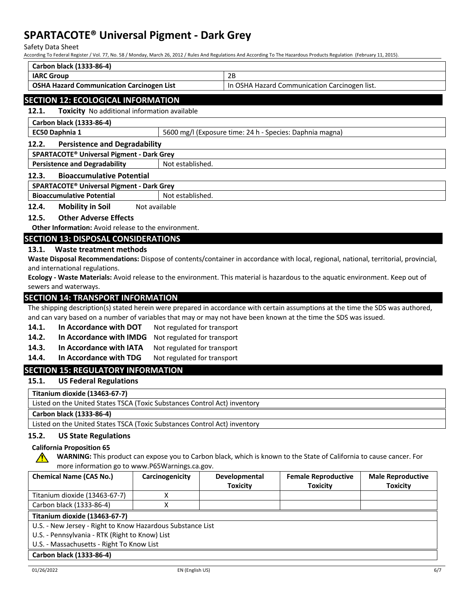Safety Data Sheet

According To Federal Register / Vol. 77, No. 58 / Monday, March 26, 2012 / Rules And Regulations And According To The Hazardous Products Regulation (February 11, 2015).

| Carbon black (1333-86-4)                                                                                                             |                                                          |                  |                                                                                                                                      |
|--------------------------------------------------------------------------------------------------------------------------------------|----------------------------------------------------------|------------------|--------------------------------------------------------------------------------------------------------------------------------------|
| <b>IARC Group</b>                                                                                                                    |                                                          |                  | 2B                                                                                                                                   |
| <b>OSHA Hazard Communication Carcinogen List</b>                                                                                     |                                                          |                  | In OSHA Hazard Communication Carcinogen list.                                                                                        |
| <b>SECTION 12: ECOLOGICAL INFORMATION</b>                                                                                            |                                                          |                  |                                                                                                                                      |
| 12.1.<br>Toxicity No additional information available                                                                                |                                                          |                  |                                                                                                                                      |
| Carbon black (1333-86-4)                                                                                                             |                                                          |                  |                                                                                                                                      |
| EC50 Daphnia 1                                                                                                                       |                                                          |                  | 5600 mg/l (Exposure time: 24 h - Species: Daphnia magna)                                                                             |
| 12.2.                                                                                                                                | <b>Persistence and Degradability</b>                     |                  |                                                                                                                                      |
| SPARTACOTE <sup>®</sup> Universal Pigment - Dark Grey                                                                                |                                                          |                  |                                                                                                                                      |
|                                                                                                                                      | <b>Persistence and Degradability</b><br>Not established. |                  |                                                                                                                                      |
| <b>Bioaccumulative Potential</b><br>12.3.                                                                                            |                                                          |                  |                                                                                                                                      |
| SPARTACOTE® Universal Pigment - Dark Grey                                                                                            |                                                          |                  |                                                                                                                                      |
| <b>Bioaccumulative Potential</b>                                                                                                     |                                                          | Not established. |                                                                                                                                      |
| <b>Mobility in Soil</b><br>12.4.                                                                                                     | Not available                                            |                  |                                                                                                                                      |
| <b>Other Adverse Effects</b><br>12.5.                                                                                                |                                                          |                  |                                                                                                                                      |
| <b>Other Information:</b> Avoid release to the environment.                                                                          |                                                          |                  |                                                                                                                                      |
| <b>SECTION 13: DISPOSAL CONSIDERATIONS</b>                                                                                           |                                                          |                  |                                                                                                                                      |
| Waste treatment methods<br>13.1.                                                                                                     |                                                          |                  |                                                                                                                                      |
| Waste Disposal Recommendations: Dispose of contents/container in accordance with local, regional, national, territorial, provincial, |                                                          |                  |                                                                                                                                      |
| and international regulations.                                                                                                       |                                                          |                  |                                                                                                                                      |
|                                                                                                                                      |                                                          |                  | <b>Ecology - Waste Materials:</b> Avoid release to the environment This material is hazardous to the aquatic environment Keep out of |

**Ecology - Waste Materials:** Avoid release to the environment. This material is hazardous to the aquatic environment. Keep out of sewers and waterways.

## **SECTION 14: TRANSPORT INFORMATION**

The shipping description(s) stated herein were prepared in accordance with certain assumptions at the time the SDS was authored, and can vary based on a number of variables that may or may not have been known at the time the SDS was issued.

- 14.1. In Accordance with DOT Not regulated for transport
- **14.2. In Accordance with IMDG** Not regulated for transport
- 14.3. In Accordance with IATA Not regulated for transport
- 14.4. In Accordance with TDG Not regulated for transport

## **SECTION 15: REGULATORY INFORMATION**

## **15.1. US Federal Regulations**

**Titanium dioxide (13463-67-7)**

Listed on the United States TSCA (Toxic Substances Control Act) inventory

**Carbon black (1333-86-4)**

Listed on the United States TSCA (Toxic Substances Control Act) inventory

# **15.2. US State Regulations**

# **California Proposition 65**

**WARNING:** This product can expose you to Carbon black, which is known to the State of California to cause cancer. For more information go to www.P65Warnings.ca.gov.

| <b>Chemical Name (CAS No.)</b>                             | Carcinogenicity | <b>Developmental</b> | <b>Female Reproductive</b> | <b>Male Reproductive</b> |
|------------------------------------------------------------|-----------------|----------------------|----------------------------|--------------------------|
|                                                            |                 | <b>Toxicity</b>      | <b>Toxicity</b>            | <b>Toxicity</b>          |
| Titanium dioxide (13463-67-7)                              |                 |                      |                            |                          |
| Carbon black (1333-86-4)                                   |                 |                      |                            |                          |
| Titanium dioxide (13463-67-7)                              |                 |                      |                            |                          |
| U.S. - New Jersey - Right to Know Hazardous Substance List |                 |                      |                            |                          |
| U.S. - Pennsylvania - RTK (Right to Know) List             |                 |                      |                            |                          |
| U.S. - Massachusetts - Right To Know List                  |                 |                      |                            |                          |
| Carbon black (1333-86-4)                                   |                 |                      |                            |                          |

 $\sqrt{N}$